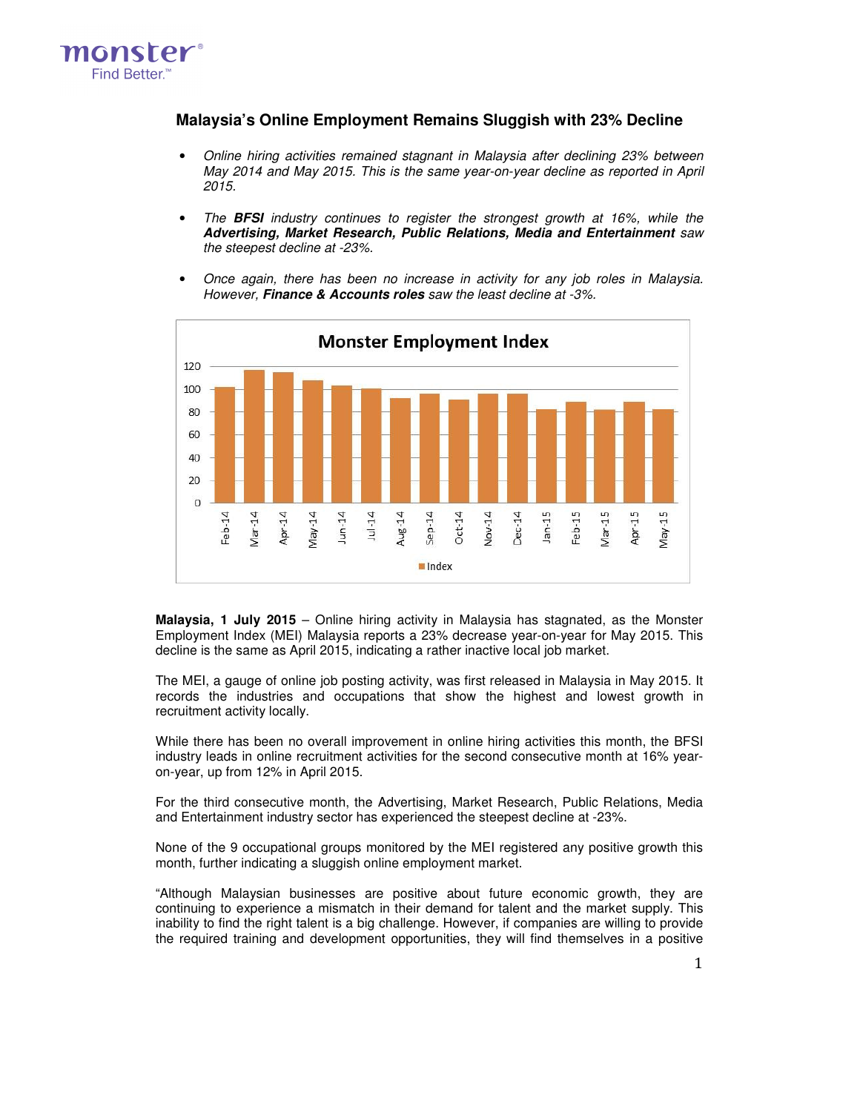

## **Malaysia's Online Employment Remains Sluggish with 23% Decline**

- Online hiring activities remained stagnant in Malaysia after declining 23% between May 2014 and May 2015. This is the same year-on-year decline as reported in April 2015.
- The **BFSI** industry continues to register the strongest growth at 16%, while the **Advertising, Market Research, Public Relations, Media and Entertainment** saw the steepest decline at -23%.
- Once again, there has been no increase in activity for any job roles in Malaysia. However, **Finance & Accounts roles** saw the least decline at -3%.



**Malaysia, 1 July 2015** – Online hiring activity in Malaysia has stagnated, as the Monster Employment Index (MEI) Malaysia reports a 23% decrease year-on-year for May 2015. This decline is the same as April 2015, indicating a rather inactive local job market.

The MEI, a gauge of online job posting activity, was first released in Malaysia in May 2015. It records the industries and occupations that show the highest and lowest growth in recruitment activity locally.

While there has been no overall improvement in online hiring activities this month, the BFSI industry leads in online recruitment activities for the second consecutive month at 16% yearon-year, up from 12% in April 2015.

For the third consecutive month, the Advertising, Market Research, Public Relations, Media and Entertainment industry sector has experienced the steepest decline at -23%.

None of the 9 occupational groups monitored by the MEI registered any positive growth this month, further indicating a sluggish online employment market.

"Although Malaysian businesses are positive about future economic growth, they are continuing to experience a mismatch in their demand for talent and the market supply. This inability to find the right talent is a big challenge. However, if companies are willing to provide the required training and development opportunities, they will find themselves in a positive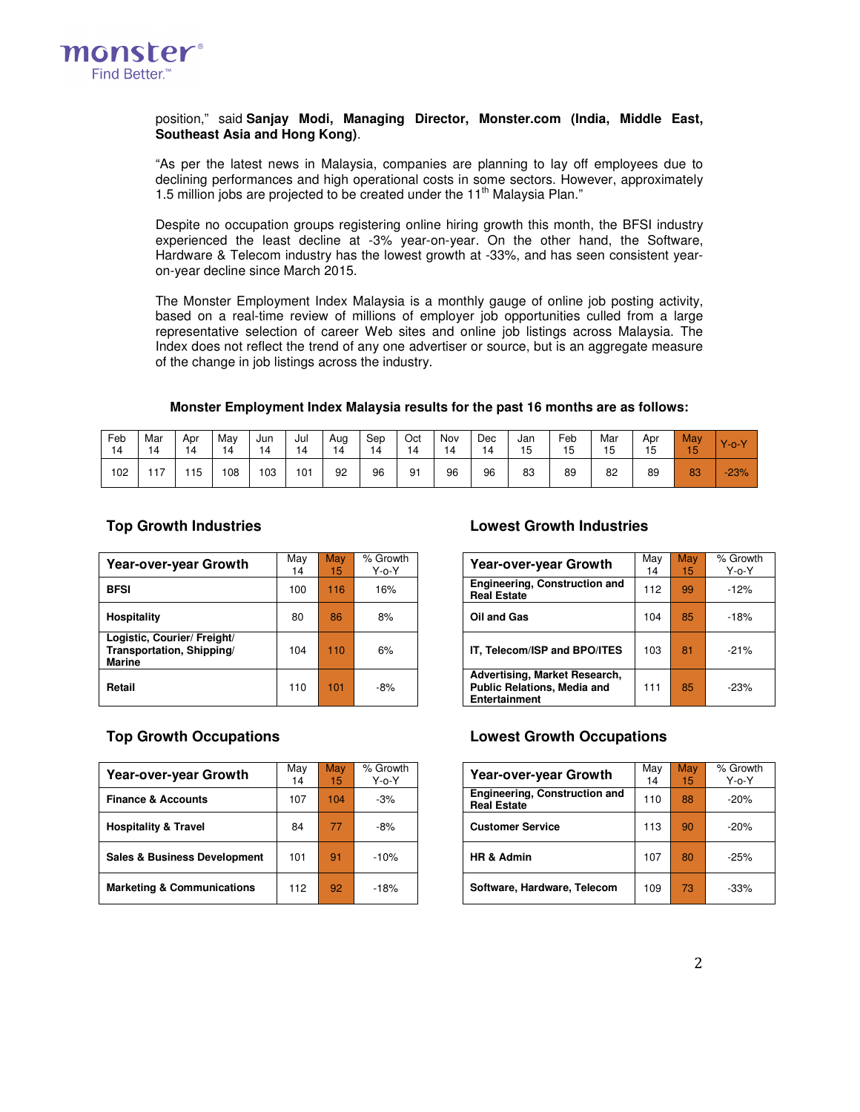

### position," said **Sanjay Modi, Managing Director, Monster.com (India, Middle East, Southeast Asia and Hong Kong)**.

"As per the latest news in Malaysia, companies are planning to lay off employees due to declining performances and high operational costs in some sectors. However, approximately 1.5 million jobs are projected to be created under the 11<sup>th</sup> Malaysia Plan."

Despite no occupation groups registering online hiring growth this month, the BFSI industry experienced the least decline at -3% year-on-year. On the other hand, the Software, Hardware & Telecom industry has the lowest growth at -33%, and has seen consistent yearon-year decline since March 2015.

The Monster Employment Index Malaysia is a monthly gauge of online job posting activity, based on a real-time review of millions of employer job opportunities culled from a large representative selection of career Web sites and online job listings across Malaysia. The Index does not reflect the trend of any one advertiser or source, but is an aggregate measure of the change in job listings across the industry.

### **Monster Employment Index Malaysia results for the past 16 months are as follows:**

| Feb<br>14 | Mar<br>14 | Apr<br>14 | May<br>14 | Jun<br>14 | Jul | Aug<br>14 | Sep<br>14 | Oct<br>۱4 | Nov | Dec<br>4 | Jan<br>15 | Feb<br>כ ו | Mar<br>1F | Apr<br>15 | May<br>15 | $\vee$<br>′−0−' |
|-----------|-----------|-----------|-----------|-----------|-----|-----------|-----------|-----------|-----|----------|-----------|------------|-----------|-----------|-----------|-----------------|
| 102       | $-1$      | 115       | 108       | 103       | 101 | 92        | 96        | 91        | 96  | 96       | 83        | 89         | 82        | 89        | 83        | $-23%$          |

| <b>Year-over-year Growth</b>                                              | May<br>14 | May<br>15 <sub>1</sub> | % Growth<br>$Y$ -o- $Y$ | <b>Year-over-year Growth</b>                                                         | May<br>14 | May<br>15 | % Grow<br>$Y$ -o- $Y$ |
|---------------------------------------------------------------------------|-----------|------------------------|-------------------------|--------------------------------------------------------------------------------------|-----------|-----------|-----------------------|
| <b>BFSI</b>                                                               | 100       | 116                    | 16%                     | Engineering, Construction and<br><b>Real Estate</b>                                  | 112       | 99        | $-12%$                |
| <b>Hospitality</b>                                                        | 80        | 86                     | 8%                      | Oil and Gas                                                                          | 104       | 85        | $-18%$                |
| Logistic, Courier/ Freight/<br>Transportation, Shipping/<br><b>Marine</b> | 104       | 110                    | 6%                      | IT, Telecom/ISP and BPO/ITES                                                         | 103       | 81        | $-21%$                |
| Retail                                                                    | 110       | 101                    | $-8%$                   | Advertising, Market Research,<br><b>Public Relations, Media and</b><br>Entertainment | 111       | 85        | $-23%$                |

| Year-over-year Growth                   | Mav<br>14 | May<br>15 | % Growth<br>$Y$ -o- $Y$ | <b>Year-over-year Growth</b>                               |     | May<br>15 | % Grow<br>$Y$ -o- $Y$ |
|-----------------------------------------|-----------|-----------|-------------------------|------------------------------------------------------------|-----|-----------|-----------------------|
| <b>Finance &amp; Accounts</b>           | 107       | 104       | $-3%$                   | <b>Engineering, Construction and</b><br><b>Real Estate</b> | 110 | 88        | $-20%$                |
| <b>Hospitality &amp; Travel</b>         | 84        | 77        | $-8%$                   | <b>Customer Service</b>                                    | 113 | 90        | $-20%$                |
| <b>Sales &amp; Business Development</b> | 101       | 91        | $-10%$                  | HR & Admin                                                 | 107 | 80        | $-25%$                |
| <b>Marketing &amp; Communications</b>   | 112       | 92        | $-18%$                  | Software, Hardware, Telecom                                | 109 | 73        | $-33%$                |

### **Top Growth Industries Lowest Growth Industries**

| Vlay<br>14 | May<br>15 | % Growth<br>Y-o-Y | <b>Year-over-year Growth</b>                                                                | May<br>14 | May<br>15 | % Growth<br>$Y$ -o- $Y$ |
|------------|-----------|-------------------|---------------------------------------------------------------------------------------------|-----------|-----------|-------------------------|
| 100        | 116       | 16%               | <b>Engineering, Construction and</b><br><b>Real Estate</b>                                  | 112       | 99        | $-12%$                  |
| 80         | 86        | 8%                | Oil and Gas                                                                                 | 104       | 85        | $-18%$                  |
| 104        | 110       | 6%                | IT, Telecom/ISP and BPO/ITES                                                                | 103       | 81        | $-21%$                  |
| 110        | 101       | $-8%$             | Advertising, Market Research,<br><b>Public Relations, Media and</b><br><b>Entertainment</b> | 111       | 85        | $-23%$                  |

### **Top Growth Occupations Lowest Growth Occupations**

| Growth<br>Y-o-Y | <b>Year-over-year Growth</b>                               | May<br>14 | May<br>15 | % Growth<br>$Y$ -o- $Y$ |
|-----------------|------------------------------------------------------------|-----------|-----------|-------------------------|
| $-3%$           | <b>Engineering, Construction and</b><br><b>Real Estate</b> | 110       | 88        | $-20%$                  |
| $-8%$           | <b>Customer Service</b>                                    | 113       | 90        | $-20%$                  |
| $-10%$          | <b>HR &amp; Admin</b>                                      | 107       | 80        | $-25%$                  |
| $-18%$          | Software, Hardware, Telecom                                | 109       | 73        | $-33%$                  |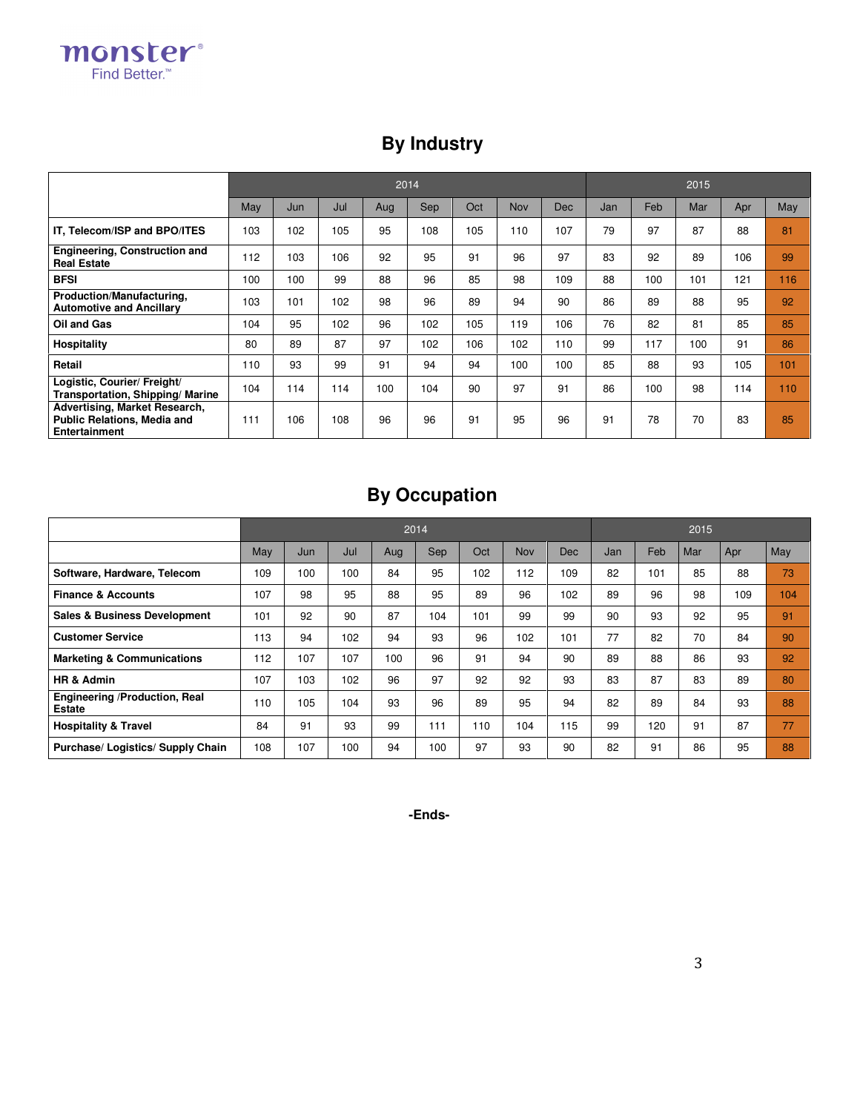monster® Find Better.<sup>™</sup>

## **By Industry**

|                                                                                             |     |     |     | 2014 | 2015 |     |            |     |     |     |     |     |     |
|---------------------------------------------------------------------------------------------|-----|-----|-----|------|------|-----|------------|-----|-----|-----|-----|-----|-----|
|                                                                                             | May | Jun | Jul | Aug  | Sep  | Oct | <b>Nov</b> | Dec | Jan | Feb | Mar | Apr | May |
| IT, Telecom/ISP and BPO/ITES                                                                | 103 | 102 | 105 | 95   | 108  | 105 | 110        | 107 | 79  | 97  | 87  | 88  | 81  |
| <b>Engineering, Construction and</b><br><b>Real Estate</b>                                  | 112 | 103 | 106 | 92   | 95   | 91  | 96         | 97  | 83  | 92  | 89  | 106 | 99  |
| <b>BFSI</b>                                                                                 | 100 | 100 | 99  | 88   | 96   | 85  | 98         | 109 | 88  | 100 | 101 | 121 | 116 |
| Production/Manufacturing,<br><b>Automotive and Ancillary</b>                                | 103 | 101 | 102 | 98   | 96   | 89  | 94         | 90  | 86  | 89  | 88  | 95  | 92  |
| Oil and Gas                                                                                 | 104 | 95  | 102 | 96   | 102  | 105 | 119        | 106 | 76  | 82  | 81  | 85  | 85  |
| Hospitality                                                                                 | 80  | 89  | 87  | 97   | 102  | 106 | 102        | 110 | 99  | 117 | 100 | 91  | 86  |
| Retail                                                                                      | 110 | 93  | 99  | 91   | 94   | 94  | 100        | 100 | 85  | 88  | 93  | 105 | 101 |
| Logistic, Courier/ Freight/<br><b>Transportation, Shipping/ Marine</b>                      | 104 | 114 | 114 | 100  | 104  | 90  | 97         | 91  | 86  | 100 | 98  | 114 | 110 |
| Advertising, Market Research,<br><b>Public Relations, Media and</b><br><b>Entertainment</b> | 111 | 106 | 108 | 96   | 96   | 91  | 95         | 96  | 91  | 78  | 70  | 83  | 85  |

# **By Occupation**

|                                                |     |     |     | 2014 | 2015 |     |     |            |     |     |     |     |     |
|------------------------------------------------|-----|-----|-----|------|------|-----|-----|------------|-----|-----|-----|-----|-----|
|                                                | May | Jun | Jul | Aug  | Sep  | Oct | Nov | <b>Dec</b> | Jan | Feb | Mar | Apr | May |
| Software, Hardware, Telecom                    | 109 | 100 | 100 | 84   | 95   | 102 | 112 | 109        | 82  | 101 | 85  | 88  | 73  |
| <b>Finance &amp; Accounts</b>                  | 107 | 98  | 95  | 88   | 95   | 89  | 96  | 102        | 89  | 96  | 98  | 109 | 104 |
| <b>Sales &amp; Business Development</b>        | 101 | 92  | 90  | 87   | 104  | 101 | 99  | 99         | 90  | 93  | 92  | 95  | 91  |
| <b>Customer Service</b>                        | 113 | 94  | 102 | 94   | 93   | 96  | 102 | 101        | 77  | 82  | 70  | 84  | 90  |
| <b>Marketing &amp; Communications</b>          | 112 | 107 | 107 | 100  | 96   | 91  | 94  | 90         | 89  | 88  | 86  | 93  | 92  |
| HR & Admin                                     | 107 | 103 | 102 | 96   | 97   | 92  | 92  | 93         | 83  | 87  | 83  | 89  | 80  |
| Engineering /Production, Real<br><b>Estate</b> | 110 | 105 | 104 | 93   | 96   | 89  | 95  | 94         | 82  | 89  | 84  | 93  | 88  |
| <b>Hospitality &amp; Travel</b>                | 84  | 91  | 93  | 99   | 111  | 110 | 104 | 115        | 99  | 120 | 91  | 87  | 77  |
| Purchase/ Logistics/ Supply Chain              | 108 | 107 | 100 | 94   | 100  | 97  | 93  | 90         | 82  | 91  | 86  | 95  | 88  |

**-Ends-**